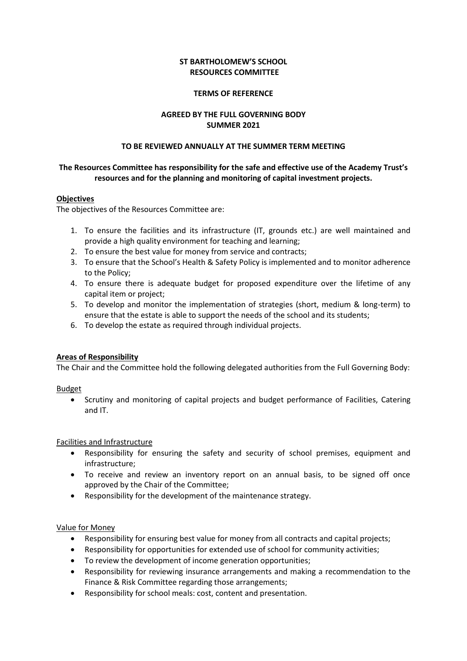## **ST BARTHOLOMEW'S SCHOOL RESOURCES COMMITTEE**

#### **TERMS OF REFERENCE**

# **AGREED BY THE FULL GOVERNING BODY SUMMER 2021**

#### **TO BE REVIEWED ANNUALLY AT THE SUMMER TERM MEETING**

# **The Resources Committee has responsibility for the safe and effective use of the Academy Trust's resources and for the planning and monitoring of capital investment projects.**

### **Objectives**

The objectives of the Resources Committee are:

- 1. To ensure the facilities and its infrastructure (IT, grounds etc.) are well maintained and provide a high quality environment for teaching and learning;
- 2. To ensure the best value for money from service and contracts;
- 3. To ensure that the School's Health & Safety Policy is implemented and to monitor adherence to the Policy;
- 4. To ensure there is adequate budget for proposed expenditure over the lifetime of any capital item or project;
- 5. To develop and monitor the implementation of strategies (short, medium & long-term) to ensure that the estate is able to support the needs of the school and its students;
- 6. To develop the estate as required through individual projects.

### **Areas of Responsibility**

The Chair and the Committee hold the following delegated authorities from the Full Governing Body:

Budget

 Scrutiny and monitoring of capital projects and budget performance of Facilities, Catering and IT.

### Facilities and Infrastructure

- Responsibility for ensuring the safety and security of school premises, equipment and infrastructure;
- To receive and review an inventory report on an annual basis, to be signed off once approved by the Chair of the Committee;
- Responsibility for the development of the maintenance strategy.

## Value for Money

- Responsibility for ensuring best value for money from all contracts and capital projects;
- Responsibility for opportunities for extended use of school for community activities;
- To review the development of income generation opportunities;
- Responsibility for reviewing insurance arrangements and making a recommendation to the Finance & Risk Committee regarding those arrangements;
- Responsibility for school meals: cost, content and presentation.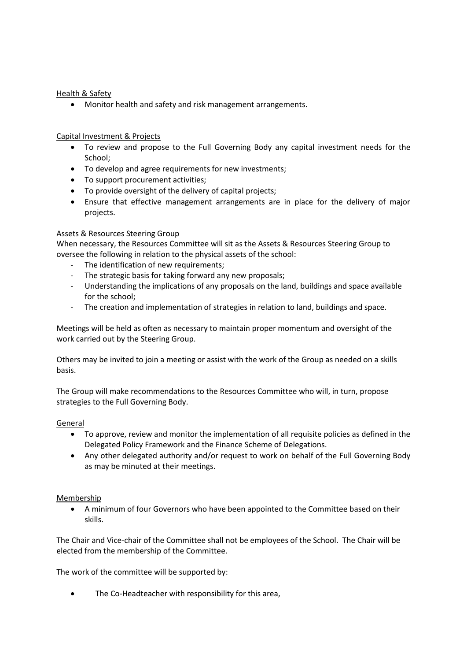# Health & Safety

Monitor health and safety and risk management arrangements.

# Capital Investment & Projects

- To review and propose to the Full Governing Body any capital investment needs for the School;
- To develop and agree requirements for new investments;
- To support procurement activities;
- To provide oversight of the delivery of capital projects;
- Ensure that effective management arrangements are in place for the delivery of major projects.

### Assets & Resources Steering Group

When necessary, the Resources Committee will sit as the Assets & Resources Steering Group to oversee the following in relation to the physical assets of the school:

- The identification of new requirements;
- The strategic basis for taking forward any new proposals;
- Understanding the implications of any proposals on the land, buildings and space available for the school;
- The creation and implementation of strategies in relation to land, buildings and space.

Meetings will be held as often as necessary to maintain proper momentum and oversight of the work carried out by the Steering Group.

Others may be invited to join a meeting or assist with the work of the Group as needed on a skills basis.

The Group will make recommendations to the Resources Committee who will, in turn, propose strategies to the Full Governing Body.

### General

- To approve, review and monitor the implementation of all requisite policies as defined in the Delegated Policy Framework and the Finance Scheme of Delegations.
- Any other delegated authority and/or request to work on behalf of the Full Governing Body as may be minuted at their meetings.

### Membership

 A minimum of four Governors who have been appointed to the Committee based on their skills.

The Chair and Vice-chair of the Committee shall not be employees of the School. The Chair will be elected from the membership of the Committee.

The work of the committee will be supported by:

The Co-Headteacher with responsibility for this area,